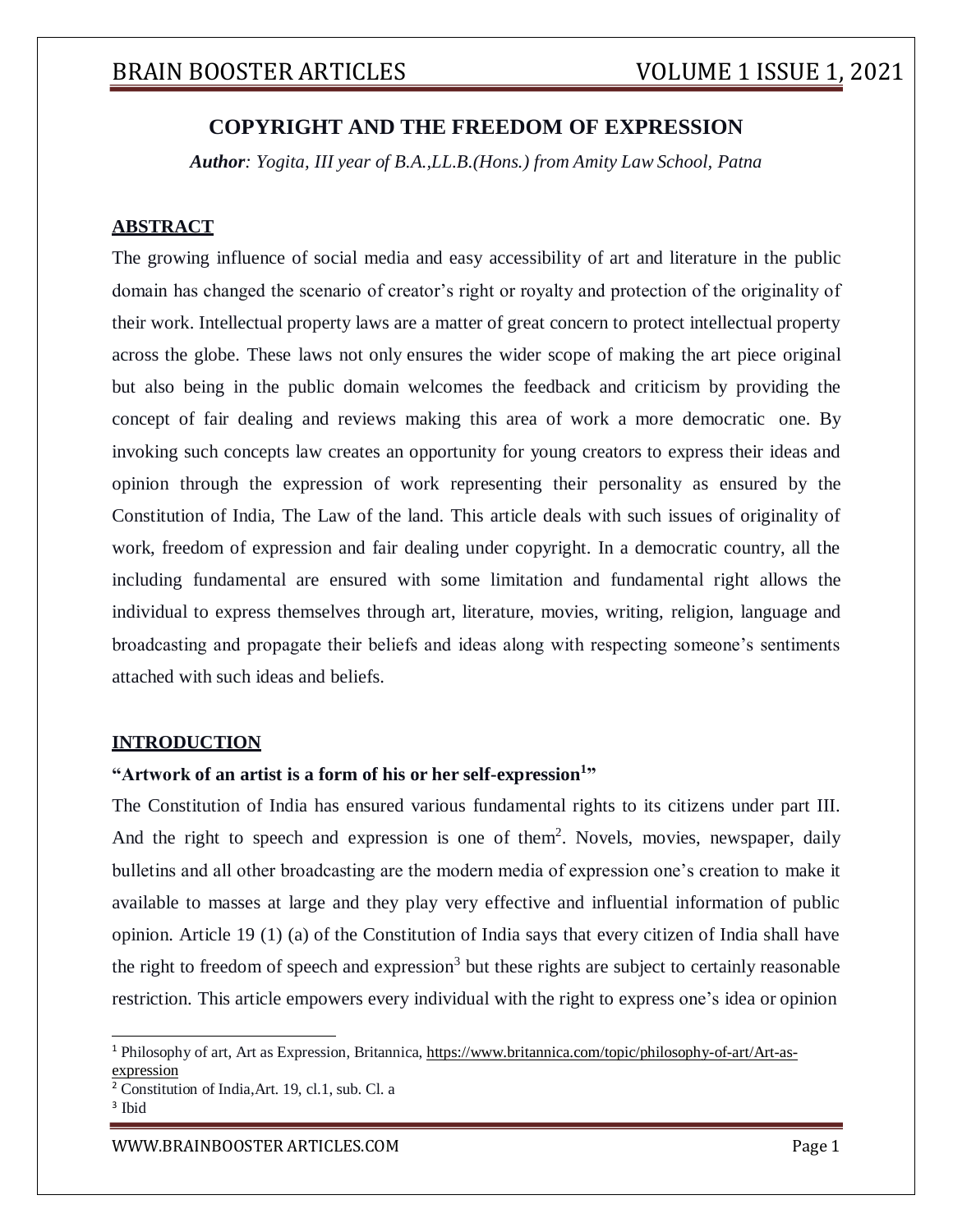## **COPYRIGHT AND THE FREEDOM OF EXPRESSION**

*Author: Yogita, III year of B.A.,LL.B.(Hons.) from Amity Law School, Patna*

### **ABSTRACT**

The growing influence of social media and easy accessibility of art and literature in the public domain has changed the scenario of creator's right or royalty and protection of the originality of their work. Intellectual property laws are a matter of great concern to protect intellectual property across the globe. These laws not only ensures the wider scope of making the art piece original but also being in the public domain welcomes the feedback and criticism by providing the concept of fair dealing and reviews making this area of work a more democratic one. By invoking such concepts law creates an opportunity for young creators to express their ideas and opinion through the expression of work representing their personality as ensured by the Constitution of India, The Law of the land. This article deals with such issues of originality of work, freedom of expression and fair dealing under copyright. In a democratic country, all the including fundamental are ensured with some limitation and fundamental right allows the individual to express themselves through art, literature, movies, writing, religion, language and broadcasting and propagate their beliefs and ideas along with respecting someone's sentiments attached with such ideas and beliefs.

#### **INTRODUCTION**

## **"Artwork of an artist is a form of his or her self-expression<sup>1</sup> "**

The Constitution of India has ensured various fundamental rights to its citizens under part III. And the right to speech and expression is one of them<sup>2</sup>. Novels, movies, newspaper, daily bulletins and all other broadcasting are the modern media of expression one's creation to make it available to masses at large and they play very effective and influential information of public opinion. Article 19 (1) (a) of the Constitution of India says that every citizen of India shall have the right to freedom of speech and expression<sup>3</sup> but these rights are subject to certainly reasonable restriction. This article empowers every individual with the right to express one's idea or opinion

<sup>1</sup> Philosophy of art, Art as Expression, Britannica, https:/[/www.britannica.com/topic/philosophy-of-art/Art-as](http://www.britannica.com/topic/philosophy-of-art/Art-as-)expression

<sup>2</sup> Constitution of India,Art. 19, cl.1, sub. Cl. a

<sup>&</sup>lt;sup>3</sup> Ibid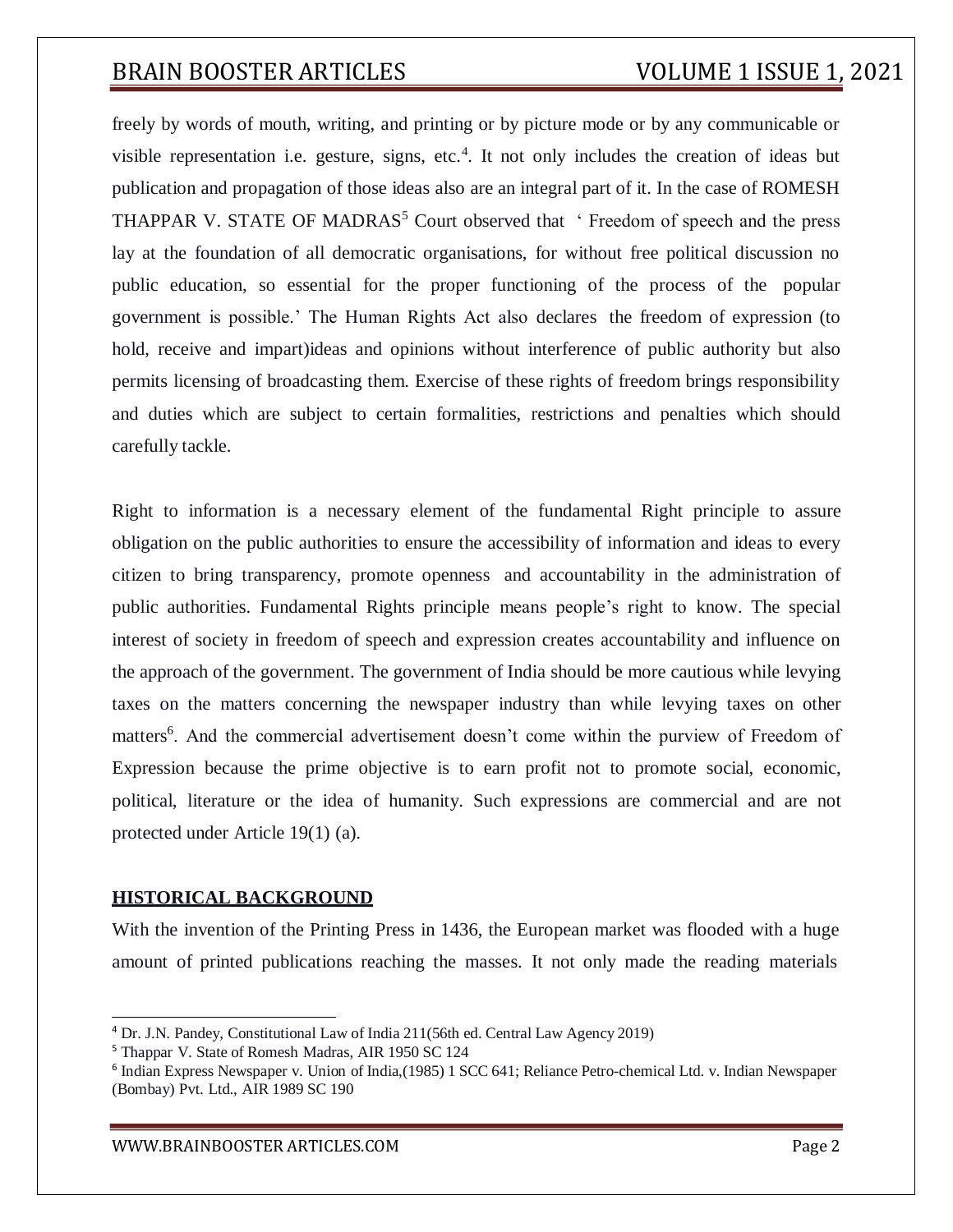freely by words of mouth, writing, and printing or by picture mode or by any communicable or visible representation i.e. gesture, signs, etc.<sup>4</sup>. It not only includes the creation of ideas but publication and propagation of those ideas also are an integral part of it. In the case of ROMESH THAPPAR V. STATE OF MADRAS<sup>5</sup> Court observed that  $\cdot$  Freedom of speech and the press lay at the foundation of all democratic organisations, for without free political discussion no public education, so essential for the proper functioning of the process of the popular government is possible.' The Human Rights Act also declares the freedom of expression (to hold, receive and impart)ideas and opinions without interference of public authority but also permits licensing of broadcasting them. Exercise of these rights of freedom brings responsibility and duties which are subject to certain formalities, restrictions and penalties which should carefully tackle.

Right to information is a necessary element of the fundamental Right principle to assure obligation on the public authorities to ensure the accessibility of information and ideas to every citizen to bring transparency, promote openness and accountability in the administration of public authorities. Fundamental Rights principle means people's right to know. The special interest of society in freedom of speech and expression creates accountability and influence on the approach of the government. The government of India should be more cautious while levying taxes on the matters concerning the newspaper industry than while levying taxes on other matters<sup>6</sup>. And the commercial advertisement doesn't come within the purview of Freedom of Expression because the prime objective is to earn profit not to promote social, economic, political, literature or the idea of humanity. Such expressions are commercial and are not protected under Article 19(1) (a).

### **HISTORICAL BACKGROUND**

With the invention of the Printing Press in 1436, the European market was flooded with a huge amount of printed publications reaching the masses. It not only made the reading materials

<sup>4</sup> Dr. J.N. Pandey, Constitutional Law of India 211(56th ed. Central Law Agency 2019)

<sup>5</sup> Thappar V. State of Romesh Madras, AIR 1950 SC 124

<sup>6</sup> Indian Express Newspaper v. Union of India,(1985) 1 SCC 641; Reliance Petro-chemical Ltd. v. Indian Newspaper (Bombay) Pvt. Ltd., AIR 1989 SC 190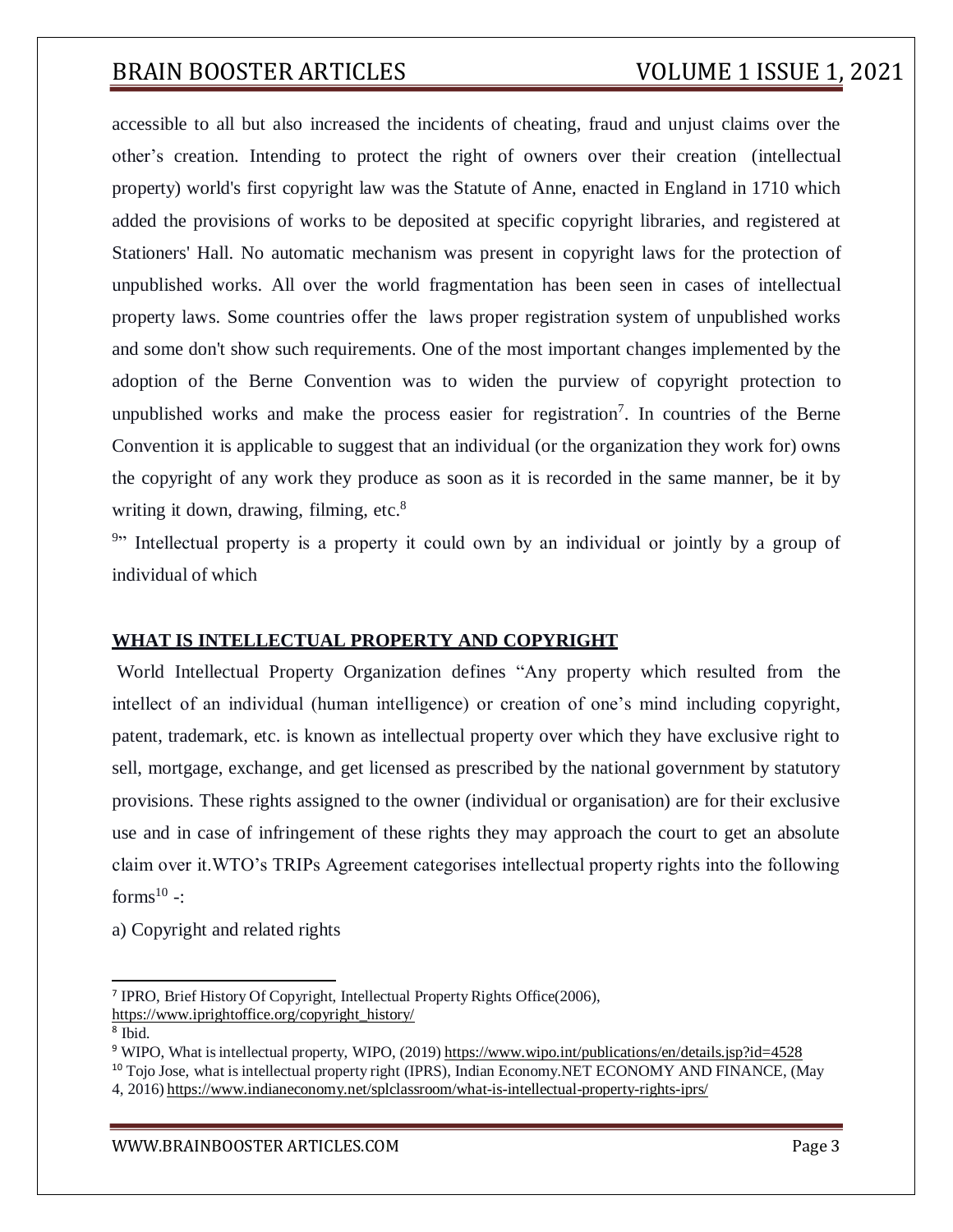accessible to all but also increased the incidents of cheating, fraud and unjust claims over the other's creation. Intending to protect the right of owners over their creation (intellectual property) world's first copyright law was the Statute of Anne, enacted in England in 1710 which added the provisions of works to be deposited at specific copyright libraries, and registered at Stationers' Hall. No automatic mechanism was present in copyright laws for the protection of unpublished works. All over the world fragmentation has been seen in cases of intellectual property laws. Some countries offer the laws proper registration system of unpublished works and some don't show such requirements. One of the most important changes implemented by the adoption of the Berne Convention was to widen the purview of copyright protection to unpublished works and make the process easier for registration<sup>7</sup>. In countries of the Berne Convention it is applicable to suggest that an individual (or the organization they work for) owns the copyright of any work they produce as soon as it is recorded in the same manner, be it by writing it down, drawing, filming,  $etc.<sup>8</sup>$ 

<sup>9</sup><sup>9</sup> Intellectual property is a property it could own by an individual or jointly by a group of individual of which

#### **WHAT IS INTELLECTUAL PROPERTY AND COPYRIGHT**

World Intellectual Property Organization defines "Any property which resulted from the intellect of an individual (human intelligence) or creation of one's mind including copyright, patent, trademark, etc. is known as intellectual property over which they have exclusive right to sell, mortgage, exchange, and get licensed as prescribed by the national government by statutory provisions. These rights assigned to the owner (individual or organisation) are for their exclusive use and in case of infringement of these rights they may approach the court to get an absolute claim over it.WTO's TRIPs Agreement categorises intellectual property rights into the following forms $^{10}$  -:

a) Copyright and related rights

<sup>&</sup>lt;sup>7</sup> IPRO, Brief History Of Copyright, Intellectual Property Rights Office(2006), https:/[/www.iprightoffice.org/copyright\\_history/](http://www.iprightoffice.org/copyright_history/)

<sup>8</sup> Ibid.

<sup>&</sup>lt;sup>9</sup> WIPO, What is intellectual property, WIPO, (2019) https:/[/www.wipo.int/publications/en/details.jsp?id=4528](http://www.wipo.int/publications/en/details.jsp?id=4528)

<sup>&</sup>lt;sup>10</sup> Tojo Jose, what is intellectual property right (IPRS), Indian Economy.NET ECONOMY AND FINANCE, (May 4, 2016) https:/[/www.indianeconomy.net/splclassroom/what-is-intellectual-property-rights-iprs/](http://www.indianeconomy.net/splclassroom/what-is-intellectual-property-rights-iprs/)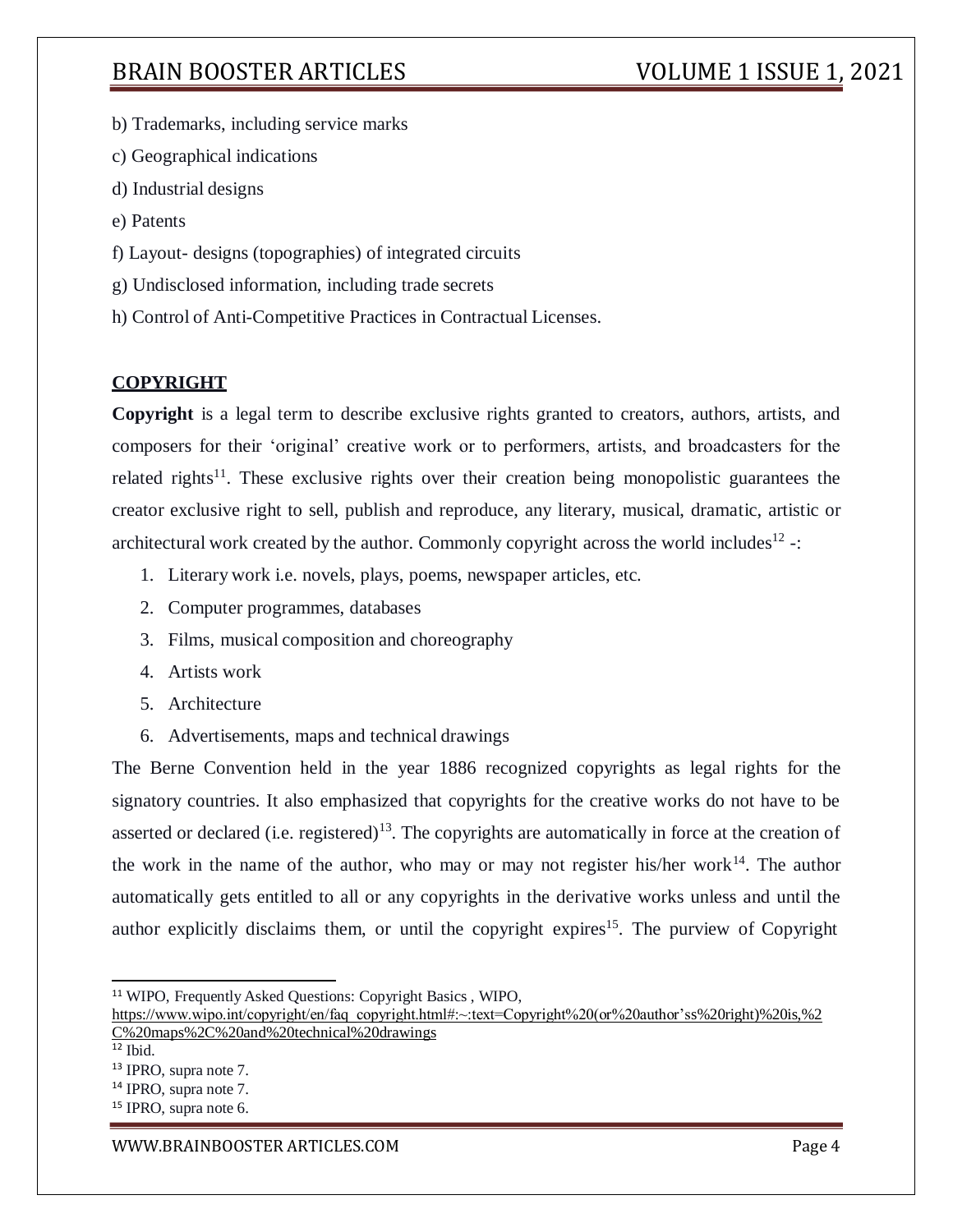b) Trademarks, including service marks

c) Geographical indications

- d) Industrial designs
- e) Patents
- f) Layout- designs (topographies) of integrated circuits
- g) Undisclosed information, including trade secrets
- h) Control of Anti-Competitive Practices in Contractual Licenses.

## **COPYRIGHT**

**Copyright** is a legal term to describe exclusive rights granted to creators, authors, artists, and composers for their 'original' creative work or to performers, artists, and broadcasters for the related rights<sup>11</sup>. These exclusive rights over their creation being monopolistic guarantees the creator exclusive right to sell, publish and reproduce, any literary, musical, dramatic, artistic or architectural work created by the author. Commonly copyright across the world includes<sup>12</sup> -:

- 1. Literary work i.e. novels, plays, poems, newspaper articles, etc.
- 2. Computer programmes, databases
- 3. Films, musical composition and choreography
- 4. Artists work
- 5. Architecture
- 6. Advertisements, maps and technical drawings

The Berne Convention held in the year 1886 recognized copyrights as legal rights for the signatory countries. It also emphasized that copyrights for the creative works do not have to be asserted or declared (i.e. registered)<sup>13</sup>. The copyrights are automatically in force at the creation of the work in the name of the author, who may or may not register his/her work $14$ . The author automatically gets entitled to all or any copyrights in the derivative works unless and until the author explicitly disclaims them, or until the copyright expires<sup>15</sup>. The purview of Copyright

[WWW.BRAINBOOSTER](http://www.brainbooster/) ARTICLES.COM **Page 4** 

<sup>11</sup> WIPO, Frequently Asked Questions: Copyright Basics , WIPO,

https:/[/www.wipo.int/copyright/en/faq\\_copyright.html#:~:text=Copyright%20\(or%20author'ss](http://www.wipo.int/copyright/en/faq_copyright.html#%3A~%3Atext%3DCopyright%20(or%20author)%20right)%20is,%2 C%20maps%2C%20and%20technical%20drawings

 $12$  Ibid.

<sup>13</sup> IPRO, supra note 7.

<sup>14</sup> IPRO, supra note 7.

<sup>&</sup>lt;sup>15</sup> IPRO, supra note 6.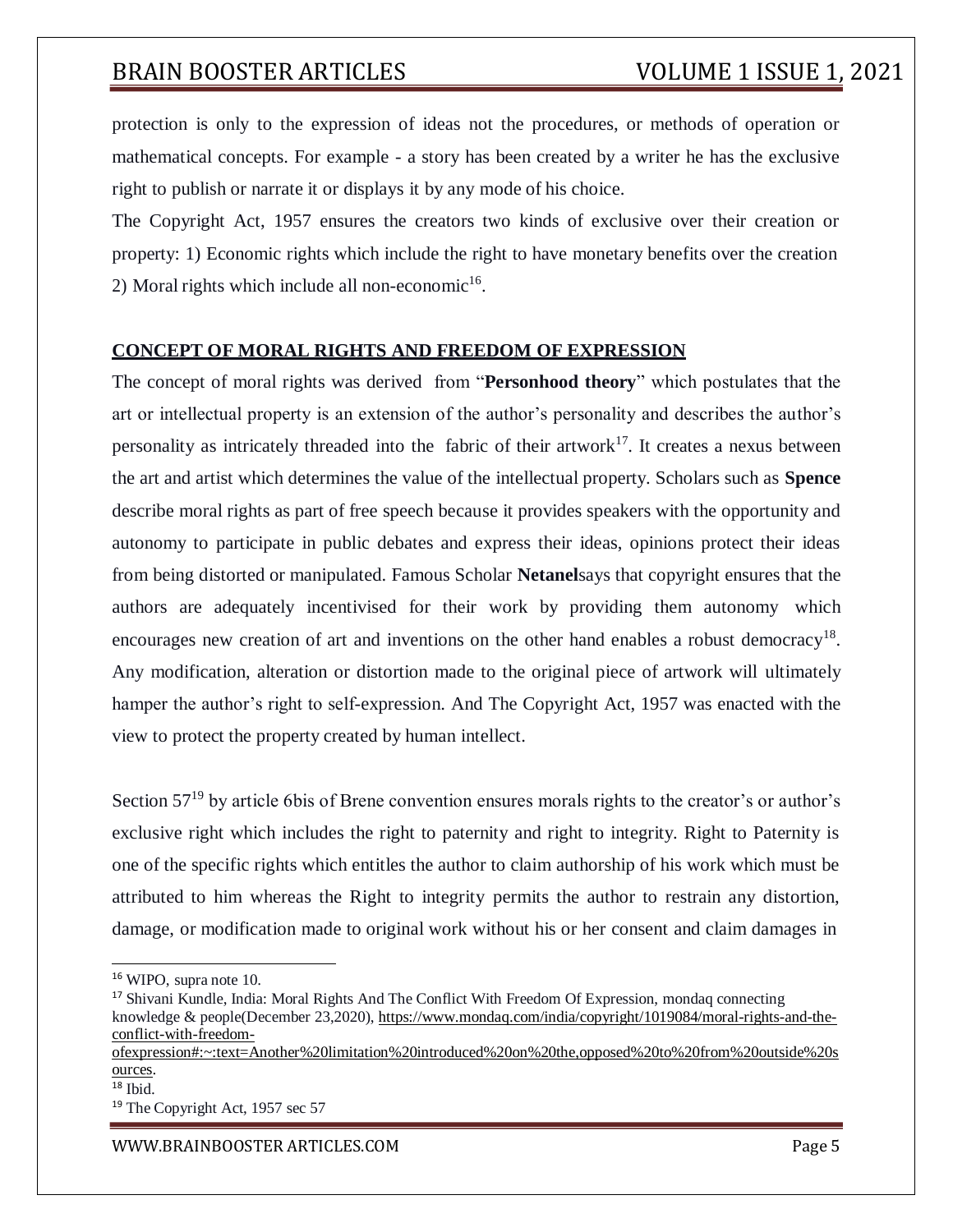protection is only to the expression of ideas not the procedures, or methods of operation or mathematical concepts. For example - a story has been created by a writer he has the exclusive right to publish or narrate it or displays it by any mode of his choice.

The Copyright Act, 1957 ensures the creators two kinds of exclusive over their creation or property: 1) Economic rights which include the right to have monetary benefits over the creation 2) Moral rights which include all non-economic $16$ .

## **CONCEPT OF MORAL RIGHTS AND FREEDOM OF EXPRESSION**

The concept of moral rights was derived from "**Personhood theory**" which postulates that the art or intellectual property is an extension of the author's personality and describes the author's personality as intricately threaded into the fabric of their artwork<sup>17</sup>. It creates a nexus between the art and artist which determines the value of the intellectual property. Scholars such as **Spence** describe moral rights as part of free speech because it provides speakers with the opportunity and autonomy to participate in public debates and express their ideas, opinions protect their ideas from being distorted or manipulated. Famous Scholar **Netanel**says that copyright ensures that the authors are adequately incentivised for their work by providing them autonomy which encourages new creation of art and inventions on the other hand enables a robust democracy<sup>18</sup>. Any modification, alteration or distortion made to the original piece of artwork will ultimately hamper the author's right to self-expression. And The Copyright Act, 1957 was enacted with the view to protect the property created by human intellect.

Section  $57^{19}$  by article 6bis of Brene convention ensures morals rights to the creator's or author's exclusive right which includes the right to paternity and right to integrity. Right to Paternity is one of the specific rights which entitles the author to claim authorship of his work which must be attributed to him whereas the Right to integrity permits the author to restrain any distortion, damage, or modification made to original work without his or her consent and claim damages in

[WWW.BRAINBOOSTER](http://www.brainbooster/) ARTICLES.COM **Page 5** 

<sup>16</sup> WIPO, supra note 10.

<sup>&</sup>lt;sup>17</sup> Shivani Kundle, India: Moral Rights And The Conflict With Freedom Of Expression, mondaq connecting knowledge & people(December 23,2020), https:/[/www.mondaq.com/india/copyright/1019084/moral-rights-and-the](http://www.mondaq.com/india/copyright/1019084/moral-rights-and-the-)conflict-with-freedom-

ofexpression#:~:text=Another%20limitation%20introduced%20on%20the,opposed%20to%20from%20outside%20s ources.

 $18$  Ibid.

<sup>&</sup>lt;sup>19</sup> The Copyright Act, 1957 sec 57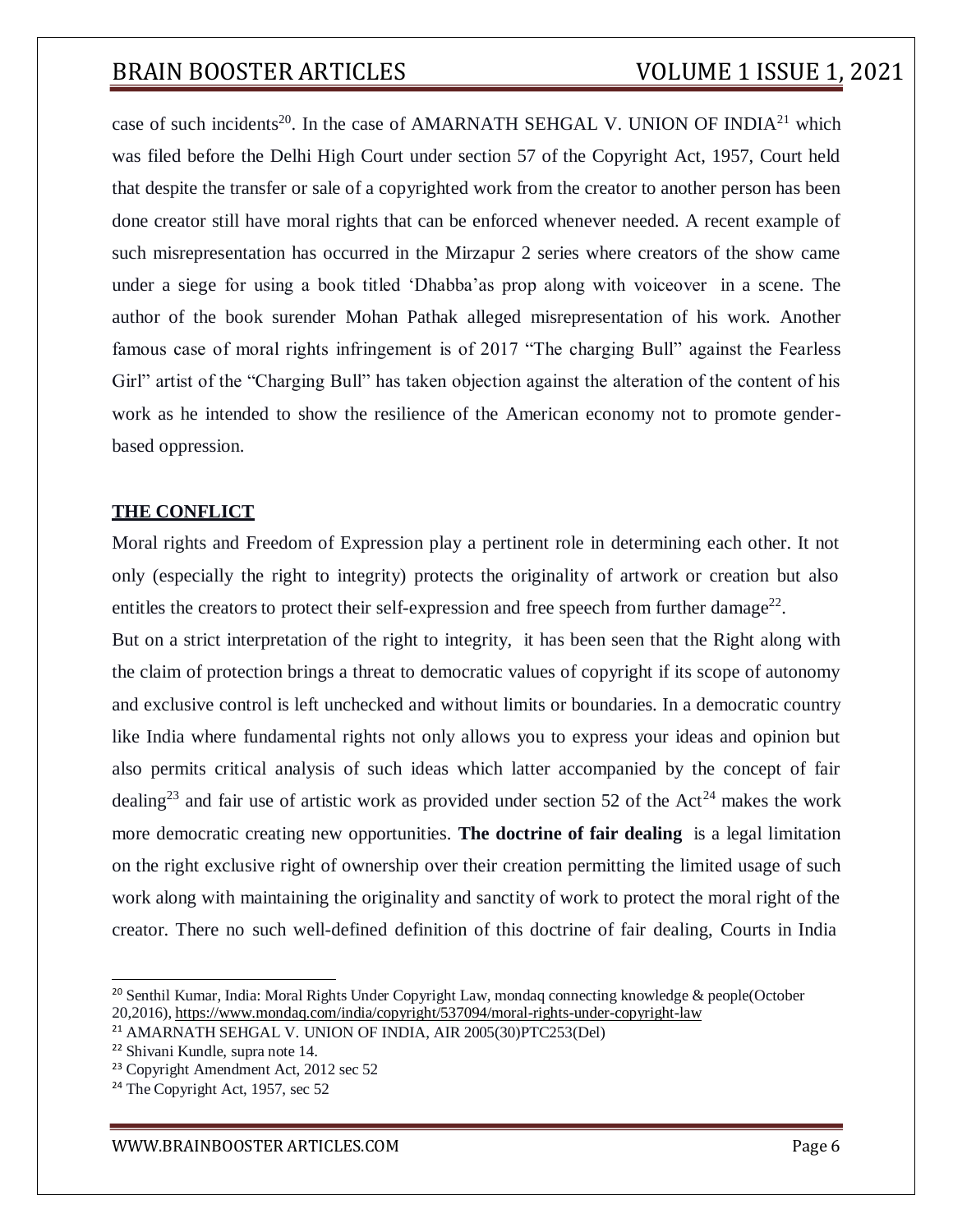case of such incidents<sup>20</sup>. In the case of AMARNATH SEHGAL V. UNION OF INDIA<sup>21</sup> which was filed before the Delhi High Court under section 57 of the Copyright Act, 1957, Court held that despite the transfer or sale of a copyrighted work from the creator to another person has been done creator still have moral rights that can be enforced whenever needed. A recent example of such misrepresentation has occurred in the Mirzapur 2 series where creators of the show came under a siege for using a book titled 'Dhabba'as prop along with voiceover in a scene. The author of the book surender Mohan Pathak alleged misrepresentation of his work. Another famous case of moral rights infringement is of 2017 "The charging Bull" against the Fearless Girl" artist of the "Charging Bull" has taken objection against the alteration of the content of his work as he intended to show the resilience of the American economy not to promote genderbased oppression.

#### **THE CONFLICT**

Moral rights and Freedom of Expression play a pertinent role in determining each other. It not only (especially the right to integrity) protects the originality of artwork or creation but also entitles the creators to protect their self-expression and free speech from further damage<sup>22</sup>.

But on a strict interpretation of the right to integrity, it has been seen that the Right along with the claim of protection brings a threat to democratic values of copyright if its scope of autonomy and exclusive control is left unchecked and without limits or boundaries. In a democratic country like India where fundamental rights not only allows you to express your ideas and opinion but also permits critical analysis of such ideas which latter accompanied by the concept of fair dealing<sup>23</sup> and fair use of artistic work as provided under section 52 of the Act<sup>24</sup> makes the work more democratic creating new opportunities. **The doctrine of fair dealing** is a legal limitation on the right exclusive right of ownership over their creation permitting the limited usage of such work along with maintaining the originality and sanctity of work to protect the moral right of the creator. There no such well-defined definition of this doctrine of fair dealing, Courts in India

<sup>&</sup>lt;sup>20</sup> Senthil Kumar, India: Moral Rights Under Copyright Law, mondaq connecting knowledge & people(October 20,2016), https:/[/www.mondaq.com/india/copyright/537094/moral-rights-under-copyright-law](http://www.mondaq.com/india/copyright/537094/moral-rights-under-copyright-law)

<sup>21</sup> AMARNATH SEHGAL V. UNION OF INDIA, AIR 2005(30)PTC253(Del)

<sup>22</sup> Shivani Kundle, supra note 14.

<sup>23</sup> Copyright Amendment Act, 2012 sec 52

<sup>&</sup>lt;sup>24</sup> The Copyright Act, 1957, sec 52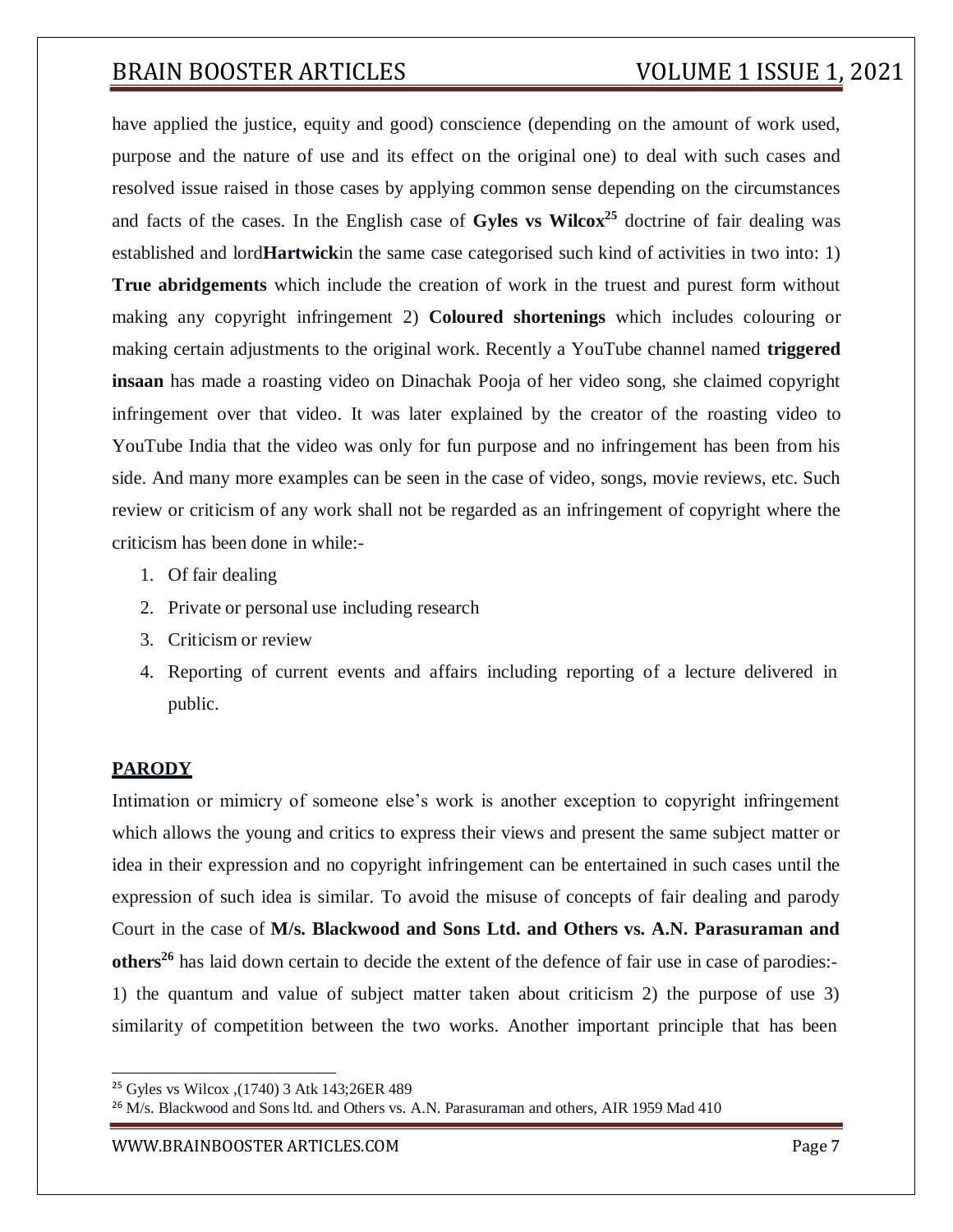have applied the justice, equity and good) conscience (depending on the amount of work used, purpose and the nature of use and its effect on the original one) to deal with such cases and resolved issue raised in those cases by applying common sense depending on the circumstances and facts of the cases. In the English case of **Gyles vs Wilcox<sup>25</sup>** doctrine of fair dealing was established and lord**Hartwick**in the same case categorised such kind of activities in two into: 1) **True abridgements** which include the creation of work in the truest and purest form without making any copyright infringement 2) **Coloured shortenings** which includes colouring or making certain adjustments to the original work. Recently a YouTube channel named **triggered insaan** has made a roasting video on Dinachak Pooja of her video song, she claimed copyright infringement over that video. It was later explained by the creator of the roasting video to YouTube India that the video was only for fun purpose and no infringement has been from his side. And many more examples can be seen in the case of video, songs, movie reviews, etc. Such review or criticism of any work shall not be regarded as an infringement of copyright where the criticism has been done in while:-

- 1. Of fair dealing
- 2. Private or personal use including research
- 3. Criticism or review
- 4. Reporting of current events and affairs including reporting of a lecture delivered in public.

### **PARODY**

Intimation or mimicry of someone else's work is another exception to copyright infringement which allows the young and critics to express their views and present the same subject matter or idea in their expression and no copyright infringement can be entertained in such cases until the expression of such idea is similar. To avoid the misuse of concepts of fair dealing and parody Court in the case of **M/s. Blackwood and Sons Ltd. and Others vs. A.N. Parasuraman and others<sup>26</sup>** has laid down certain to decide the extent of the defence of fair use in case of parodies:- 1) the quantum and value of subject matter taken about criticism 2) the purpose of use 3) similarity of competition between the two works. Another important principle that has been

<sup>25</sup> Gyles vs Wilcox ,(1740) 3 Atk 143;26ER 489

<sup>&</sup>lt;sup>26</sup> M/s. Blackwood and Sons ltd. and Others vs. A.N. Parasuraman and others, AIR 1959 Mad 410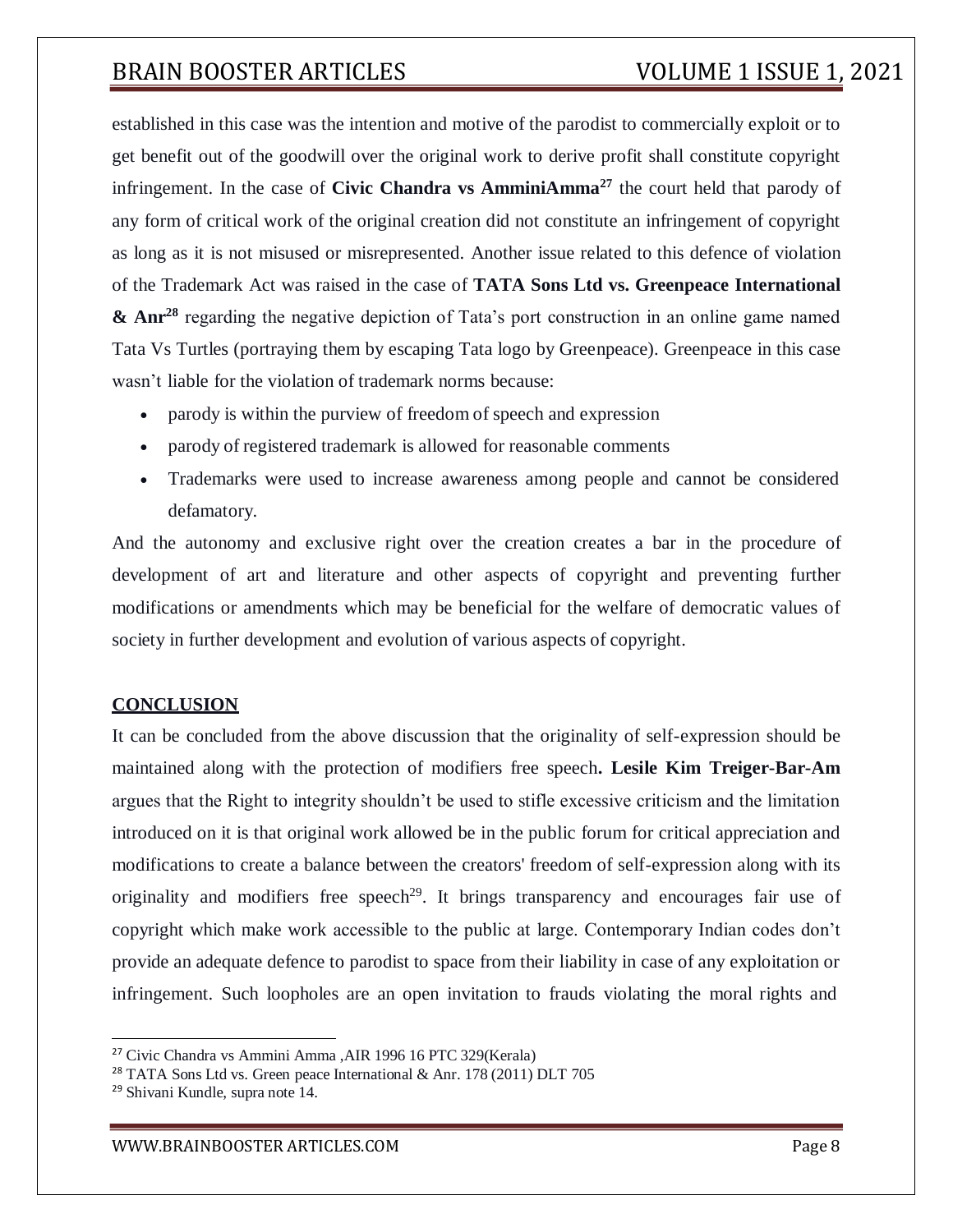established in this case was the intention and motive of the parodist to commercially exploit or to get benefit out of the goodwill over the original work to derive profit shall constitute copyright infringement. In the case of **Civic Chandra vs AmminiAmma<sup>27</sup>** the court held that parody of any form of critical work of the original creation did not constitute an infringement of copyright as long as it is not misused or misrepresented. Another issue related to this defence of violation of the Trademark Act was raised in the case of **TATA Sons Ltd vs. Greenpeace International & Anr<sup>28</sup>** regarding the negative depiction of Tata's port construction in an online game named Tata Vs Turtles (portraying them by escaping Tata logo by Greenpeace). Greenpeace in this case wasn't liable for the violation of trademark norms because:

- parody is within the purview of freedom of speech and expression
- parody of registered trademark is allowed for reasonable comments
- Trademarks were used to increase awareness among people and cannot be considered defamatory.

And the autonomy and exclusive right over the creation creates a bar in the procedure of development of art and literature and other aspects of copyright and preventing further modifications or amendments which may be beneficial for the welfare of democratic values of society in further development and evolution of various aspects of copyright.

### **CONCLUSION**

It can be concluded from the above discussion that the originality of self-expression should be maintained along with the protection of modifiers free speech**. Lesile Kim Treiger-Bar-Am** argues that the Right to integrity shouldn't be used to stifle excessive criticism and the limitation introduced on it is that original work allowed be in the public forum for critical appreciation and modifications to create a balance between the creators' freedom of self-expression along with its originality and modifiers free speech<sup>29</sup>. It brings transparency and encourages fair use of copyright which make work accessible to the public at large. Contemporary Indian codes don't provide an adequate defence to parodist to space from their liability in case of any exploitation or infringement. Such loopholes are an open invitation to frauds violating the moral rights and

<sup>27</sup> Civic Chandra vs Ammini Amma ,AIR 1996 16 PTC 329(Kerala)

<sup>28</sup> TATA Sons Ltd vs. Green peace International & Anr. 178 (2011) DLT 705

<sup>29</sup> Shivani Kundle, supra note 14.